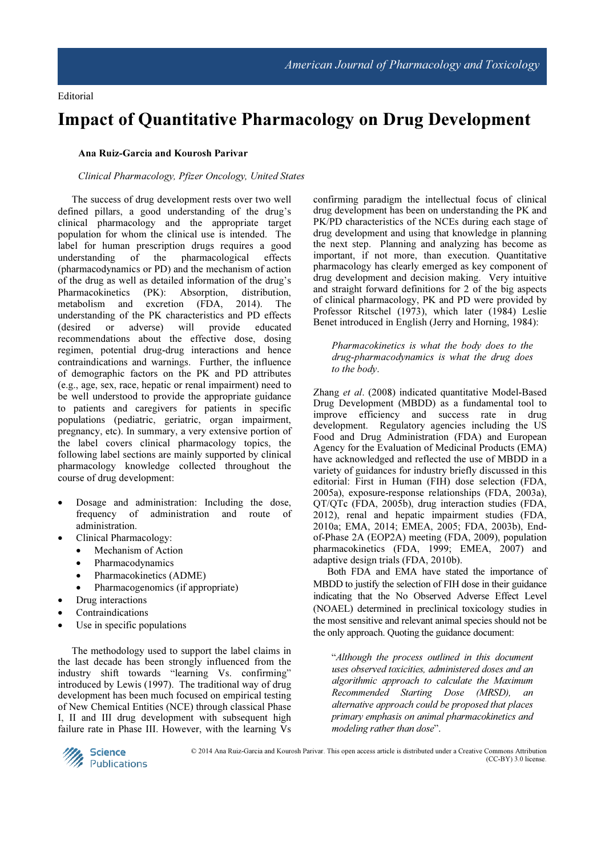## Impact of Quantitative Pharmacology on Drug Development

## Ana Ruiz-Garcia and Kourosh Parivar

## Clinical Pharmacology, Pfizer Oncology, United States

The success of drug development rests over two well defined pillars, a good understanding of the drug's clinical pharmacology and the appropriate target population for whom the clinical use is intended. The label for human prescription drugs requires a good understanding of the pharmacological effects (pharmacodynamics or PD) and the mechanism of action of the drug as well as detailed information of the drug's Pharmacokinetics (PK): Absorption, distribution, metabolism and excretion (FDA, 2014). The understanding of the PK characteristics and PD effects (desired or adverse) will provide educated recommendations about the effective dose, dosing regimen, potential drug-drug interactions and hence contraindications and warnings. Further, the influence of demographic factors on the PK and PD attributes (e.g., age, sex, race, hepatic or renal impairment) need to be well understood to provide the appropriate guidance to patients and caregivers for patients in specific populations (pediatric, geriatric, organ impairment, pregnancy, etc). In summary, a very extensive portion of the label covers clinical pharmacology topics, the following label sections are mainly supported by clinical pharmacology knowledge collected throughout the course of drug development:

- Dosage and administration: Including the dose, frequency of administration and route of administration.
- Clinical Pharmacology:
	- Mechanism of Action
	- Pharmacodynamics
	- Pharmacokinetics (ADME)
	- Pharmacogenomics (if appropriate)
- Drug interactions
- **Contraindications**
- Use in specific populations

The methodology used to support the label claims in the last decade has been strongly influenced from the industry shift towards "learning Vs. confirming" introduced by Lewis (1997). The traditional way of drug development has been much focused on empirical testing of New Chemical Entities (NCE) through classical Phase I, II and III drug development with subsequent high failure rate in Phase III. However, with the learning Vs

confirming paradigm the intellectual focus of clinical drug development has been on understanding the PK and PK/PD characteristics of the NCEs during each stage of drug development and using that knowledge in planning the next step. Planning and analyzing has become as important, if not more, than execution. Quantitative pharmacology has clearly emerged as key component of drug development and decision making. Very intuitive and straight forward definitions for 2 of the big aspects of clinical pharmacology, PK and PD were provided by Professor Ritschel (1973), which later (1984) Leslie Benet introduced in English (Jerry and Horning, 1984):

Pharmacokinetics is what the body does to the drug-pharmacodynamics is what the drug does to the body.

Zhang et al. (2008) indicated quantitative Model-Based Drug Development (MBDD) as a fundamental tool to improve efficiency and success rate in drug development. Regulatory agencies including the US Food and Drug Administration (FDA) and European Agency for the Evaluation of Medicinal Products (EMA) have acknowledged and reflected the use of MBDD in a variety of guidances for industry briefly discussed in this editorial: First in Human (FIH) dose selection (FDA, 2005a), exposure-response relationships (FDA, 2003a), QT/QTc (FDA, 2005b), drug interaction studies (FDA, 2012), renal and hepatic impairment studies (FDA, 2010a; EMA, 2014; EMEA, 2005; FDA, 2003b), Endof-Phase 2A (EOP2A) meeting (FDA, 2009), population pharmacokinetics (FDA, 1999; EMEA, 2007) and adaptive design trials (FDA, 2010b).

Both FDA and EMA have stated the importance of MBDD to justify the selection of FIH dose in their guidance indicating that the No Observed Adverse Effect Level (NOAEL) determined in preclinical toxicology studies in the most sensitive and relevant animal species should not be the only approach. Quoting the guidance document:

"Although the process outlined in this document uses observed toxicities, administered doses and an algorithmic approach to calculate the Maximum Recommended Starting Dose (MRSD), an alternative approach could be proposed that places primary emphasis on animal pharmacokinetics and modeling rather than dose".



© 2014 Ana Ruiz-Garcia and Kourosh Parivar. This open access article is distributed under a Creative Commons Attribution (CC-BY) 3.0 license.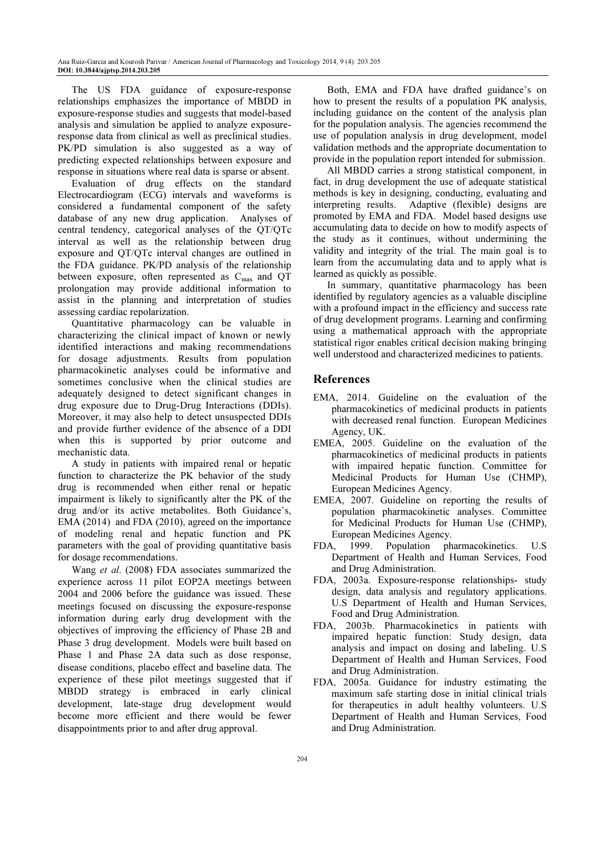The US FDA guidance of exposure-response relationships emphasizes the importance of MBDD in exposure-response studies and suggests that model-based analysis and simulation be applied to analyze exposureresponse data from clinical as well as preclinical studies. PK/PD simulation is also suggested as a way of predicting expected relationships between exposure and response in situations where real data is sparse or absent.

Evaluation of drug effects on the standard Electrocardiogram (ECG) intervals and waveforms is considered a fundamental component of the safety database of any new drug application. Analyses of central tendency, categorical analyses of the QT/QTc interval as well as the relationship between drug exposure and QT/QTc interval changes are outlined in the FDA guidance. PK/PD analysis of the relationship between exposure, often represented as  $C_{\text{max}}$  and QT prolongation may provide additional information to assist in the planning and interpretation of studies assessing cardiac repolarization.

Quantitative pharmacology can be valuable in characterizing the clinical impact of known or newly identified interactions and making recommendations for dosage adjustments. Results from population pharmacokinetic analyses could be informative and sometimes conclusive when the clinical studies are adequately designed to detect significant changes in drug exposure due to Drug-Drug Interactions (DDIs). Moreover, it may also help to detect unsuspected DDIs and provide further evidence of the absence of a DDI when this is supported by prior outcome and mechanistic data.

A study in patients with impaired renal or hepatic function to characterize the PK behavior of the study drug is recommended when either renal or hepatic impairment is likely to significantly alter the PK of the drug and/or its active metabolites. Both Guidance's, EMA (2014) and FDA (2010), agreed on the importance of modeling renal and hepatic function and PK parameters with the goal of providing quantitative basis for dosage recommendations.

Wang et al. (2008) FDA associates summarized the experience across 11 pilot EOP2A meetings between 2004 and 2006 before the guidance was issued. These meetings focused on discussing the exposure-response information during early drug development with the objectives of improving the efficiency of Phase 2B and Phase 3 drug development. Models were built based on Phase 1 and Phase 2A data such as dose response, disease conditions, placebo effect and baseline data. The experience of these pilot meetings suggested that if MBDD strategy is embraced in early clinical development, late-stage drug development would become more efficient and there would be fewer disappointments prior to and after drug approval.

Both, EMA and FDA have drafted guidance's on how to present the results of a population PK analysis, including guidance on the content of the analysis plan for the population analysis. The agencies recommend the use of population analysis in drug development, model validation methods and the appropriate documentation to provide in the population report intended for submission.

All MBDD carries a strong statistical component, in fact, in drug development the use of adequate statistical methods is key in designing, conducting, evaluating and interpreting results. Adaptive (flexible) designs are promoted by EMA and FDA. Model based designs use accumulating data to decide on how to modify aspects of the study as it continues, without undermining the validity and integrity of the trial. The main goal is to learn from the accumulating data and to apply what is learned as quickly as possible.

In summary, quantitative pharmacology has been identified by regulatory agencies as a valuable discipline with a profound impact in the efficiency and success rate of drug development programs. Learning and confirming using a mathematical approach with the appropriate statistical rigor enables critical decision making bringing well understood and characterized medicines to patients.

## References

- EMA, 2014. Guideline on the evaluation of the pharmacokinetics of medicinal products in patients with decreased renal function. European Medicines Agency, UK.
- EMEA, 2005. Guideline on the evaluation of the pharmacokinetics of medicinal products in patients with impaired hepatic function. Committee for Medicinal Products for Human Use (CHMP), European Medicines Agency.
- EMEA, 2007. Guideline on reporting the results of population pharmacokinetic analyses. Committee for Medicinal Products for Human Use (CHMP), European Medicines Agency.
- FDA, 1999. Population pharmacokinetics. U.S Department of Health and Human Services, Food and Drug Administration.
- FDA, 2003a. Exposure-response relationships- study design, data analysis and regulatory applications. U.S Department of Health and Human Services, Food and Drug Administration.
- FDA, 2003b. Pharmacokinetics in patients with impaired hepatic function: Study design, data analysis and impact on dosing and labeling. U.S Department of Health and Human Services, Food and Drug Administration.
- FDA, 2005a. Guidance for industry estimating the maximum safe starting dose in initial clinical trials for therapeutics in adult healthy volunteers. U.S Department of Health and Human Services, Food and Drug Administration.